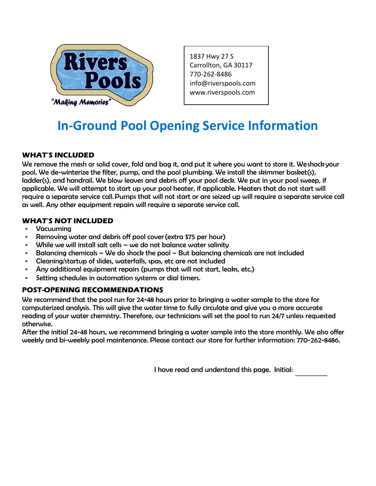

1837 Hwy 27 S Carrollton, GA 30117 770-262-8486 info@riverspools.com [www.riverspools.com](mailto:info@riverspools.com)

## **In-Ground Pool Opening Service Information**

### **WHAT'S INCLUDED**

We remove the mesh or solid cover, fold and bag it, and put it where you want to store it. We shock your pool. We de-winterize the filter, pump, and the pool plumbing. We install the skimmer basket(s), ladder(s), and handrail. We blow leaves and debris off your pool deck. We put in your pool sweep, if applicable. We will attempt to start up your pool heater, if applicable. Heaters that do not start will require a separate service call. Pumps that will not start or are seized up will require a separate service call as well. Any other equipment repairs will require a separate service call.

### **WHAT'S NOT INCLUDED**

- Vacuuming
- Removing water and debris off pool cover (extra \$75 per hour)
- $\blacksquare$  While we will install salt cells we do not balance water salinity
- Balancing chemicals We do shock the pool But balancing chemicals are not included
- Cleaning/startup of slides, waterfalls, spas, etc are not included
- Any additional equipment repairs (pumps that will not start, leaks, etc.)
- Setting schedules in automation systems or dial timers.

#### **POST-OPENING RECOMMENDATIONS**

We recommend that the pool run for 24-48 hours prior to bringing a water sample to the store for computerized analysis. This will give the water time to fully circulate and give you a more accurate reading of your water chemistry. Therefore, our technicians will set the pool to run 24/7 unless requested otherwise.

After the initial 24-48 hours, we recommend bringing a water sample into the store monthly. We also offer weekly and bi-weekly pool maintenance. Please contact our store for further information: 770-262-8486.

> I have read and understand this page. Initial:  $\mathcal{L}=\mathcal{L}$